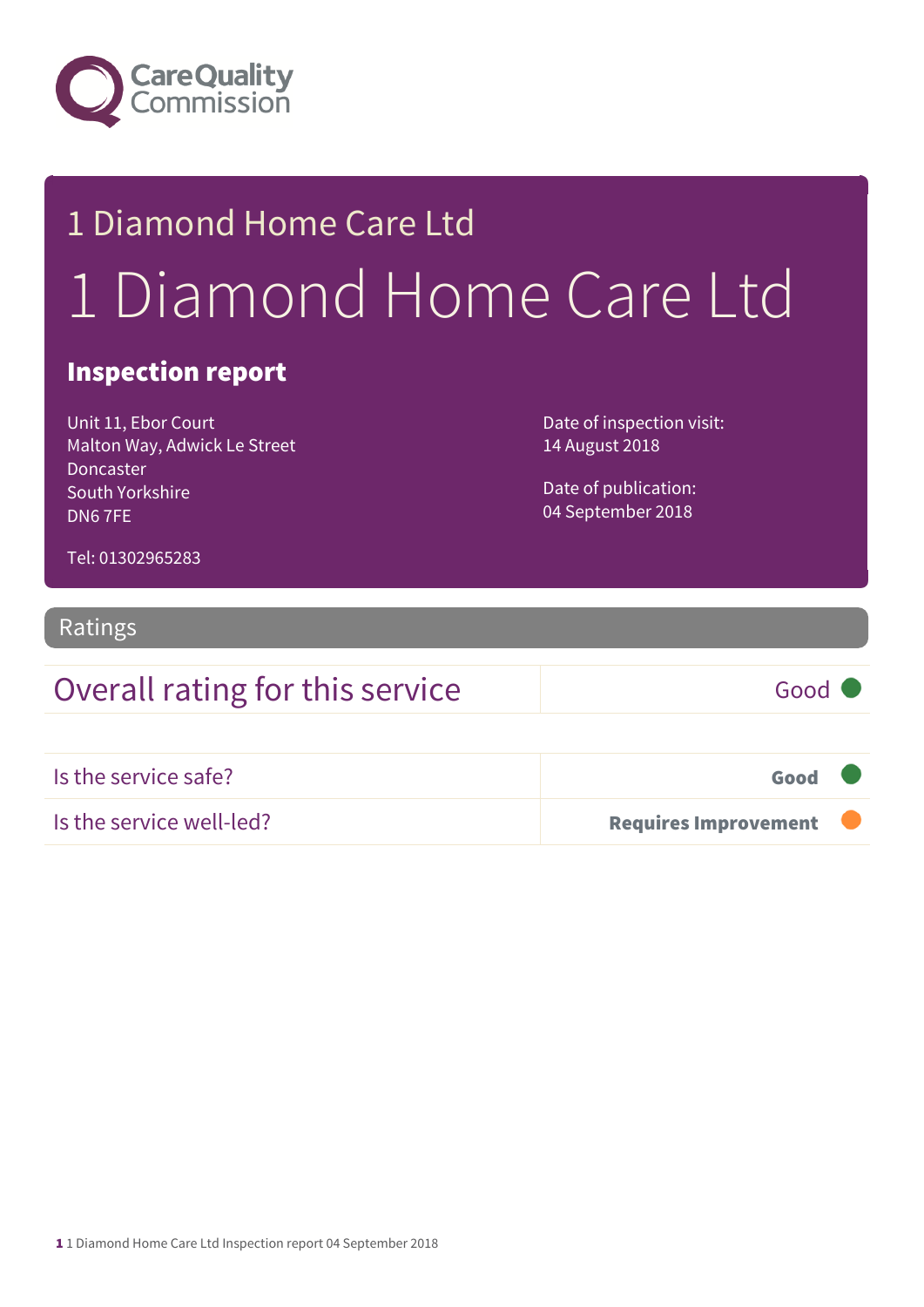

# 1 Diamond Home Care Ltd 1 Diamond Home Care Ltd

#### Inspection report

Unit 11, Ebor Court Malton Way, Adwick Le Street Doncaster South Yorkshire DN6 7FE

Date of inspection visit: 14 August 2018

Date of publication: 04 September 2018

Tel: 01302965283

#### Ratings

# Overall rating for this service Good Is the service safe? Good Is the service well-led? **Example 2018 Requires Improvement**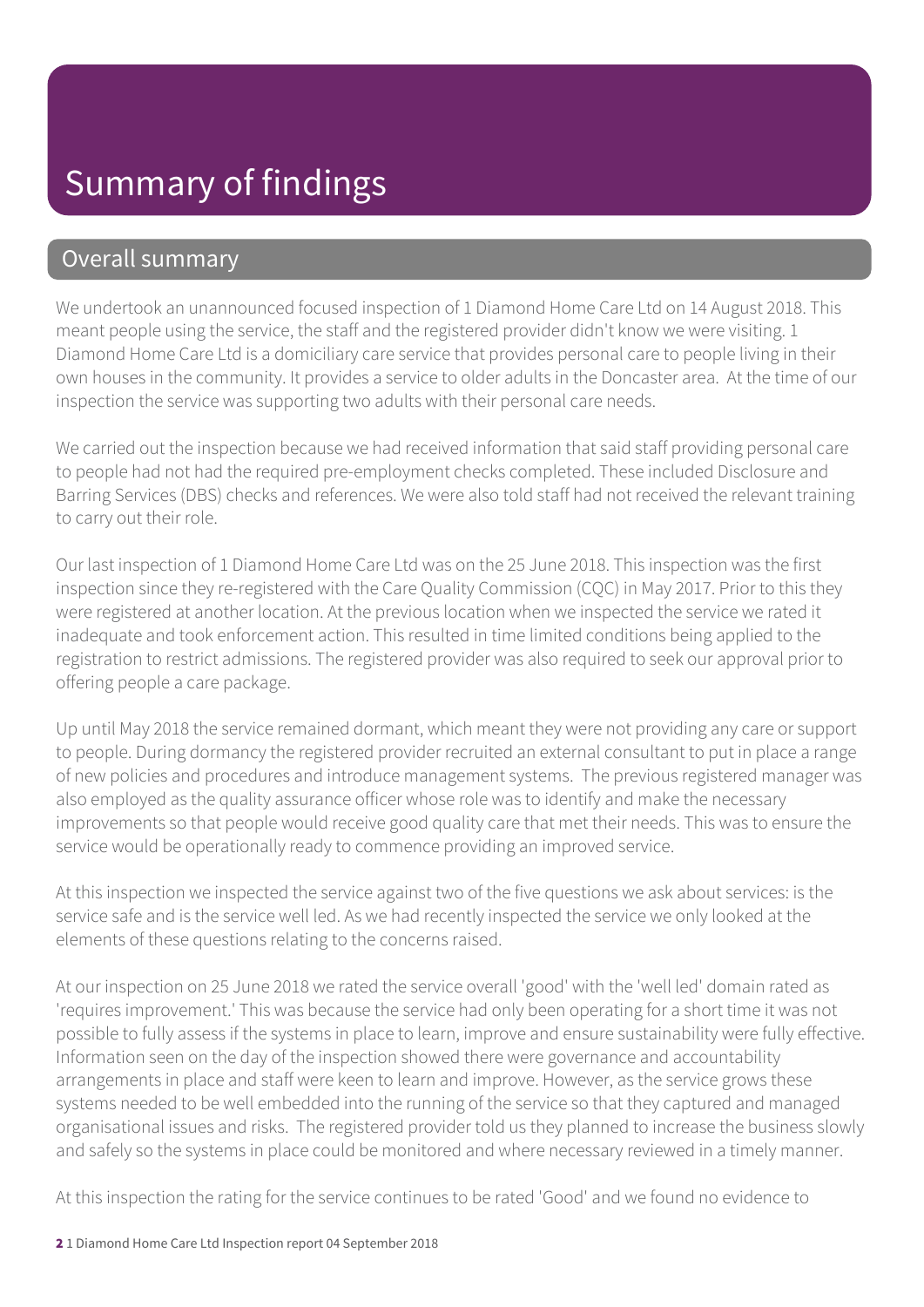#### Overall summary

We undertook an unannounced focused inspection of 1 Diamond Home Care Ltd on 14 August 2018. This meant people using the service, the staff and the registered provider didn't know we were visiting. 1 Diamond Home Care Ltd is a domiciliary care service that provides personal care to people living in their own houses in the community. It provides a service to older adults in the Doncaster area. At the time of our inspection the service was supporting two adults with their personal care needs.

We carried out the inspection because we had received information that said staff providing personal care to people had not had the required pre-employment checks completed. These included Disclosure and Barring Services (DBS) checks and references. We were also told staff had not received the relevant training to carry out their role.

Our last inspection of 1 Diamond Home Care Ltd was on the 25 June 2018. This inspection was the first inspection since they re-registered with the Care Quality Commission (CQC) in May 2017. Prior to this they were registered at another location. At the previous location when we inspected the service we rated it inadequate and took enforcement action. This resulted in time limited conditions being applied to the registration to restrict admissions. The registered provider was also required to seek our approval prior to offering people a care package.

Up until May 2018 the service remained dormant, which meant they were not providing any care or support to people. During dormancy the registered provider recruited an external consultant to put in place a range of new policies and procedures and introduce management systems. The previous registered manager was also employed as the quality assurance officer whose role was to identify and make the necessary improvements so that people would receive good quality care that met their needs. This was to ensure the service would be operationally ready to commence providing an improved service.

At this inspection we inspected the service against two of the five questions we ask about services: is the service safe and is the service well led. As we had recently inspected the service we only looked at the elements of these questions relating to the concerns raised.

At our inspection on 25 June 2018 we rated the service overall 'good' with the 'well led' domain rated as 'requires improvement.' This was because the service had only been operating for a short time it was not possible to fully assess if the systems in place to learn, improve and ensure sustainability were fully effective. Information seen on the day of the inspection showed there were governance and accountability arrangements in place and staff were keen to learn and improve. However, as the service grows these systems needed to be well embedded into the running of the service so that they captured and managed organisational issues and risks. The registered provider told us they planned to increase the business slowly and safely so the systems in place could be monitored and where necessary reviewed in a timely manner.

At this inspection the rating for the service continues to be rated 'Good' and we found no evidence to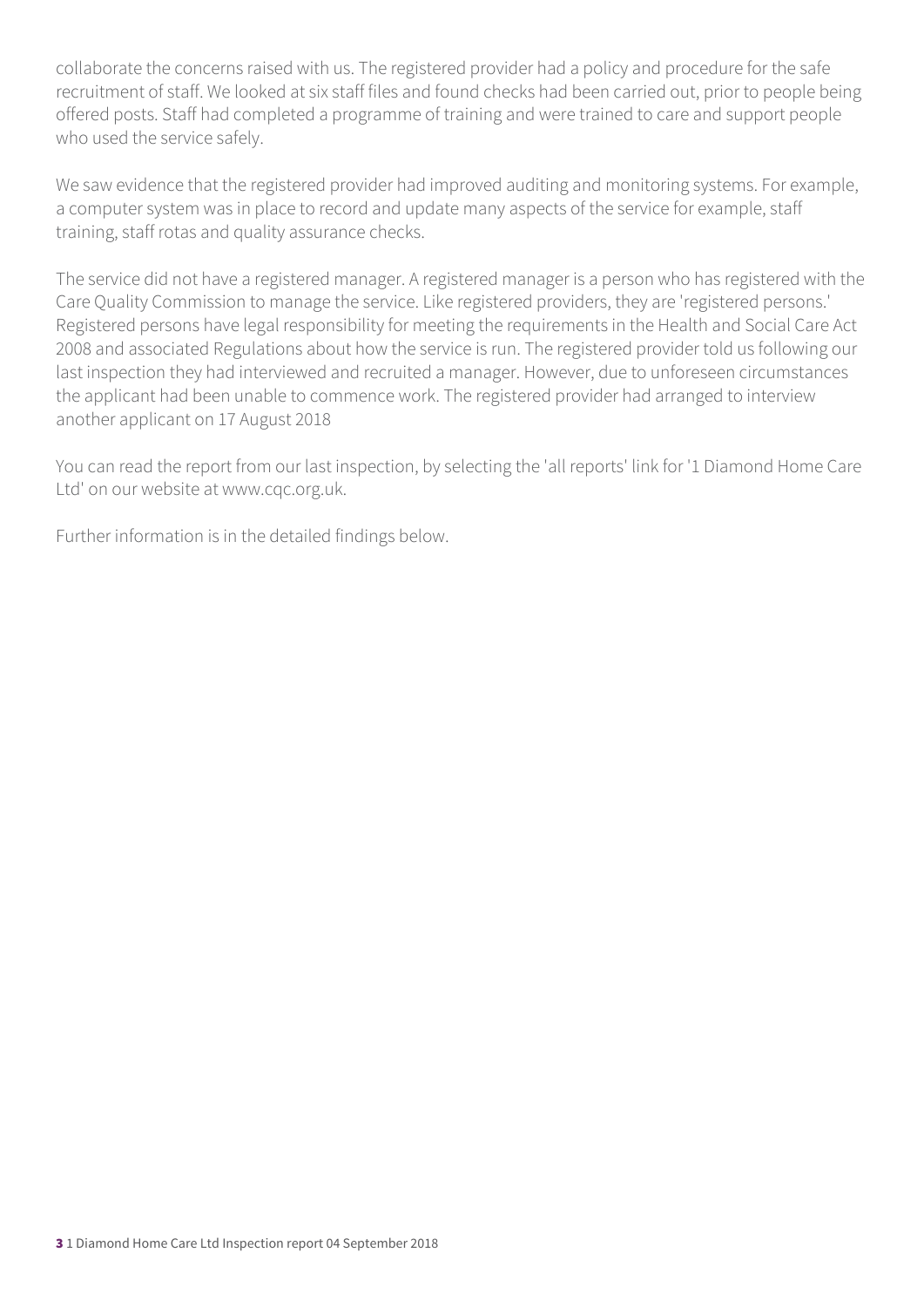collaborate the concerns raised with us. The registered provider had a policy and procedure for the safe recruitment of staff. We looked at six staff files and found checks had been carried out, prior to people being offered posts. Staff had completed a programme of training and were trained to care and support people who used the service safely.

We saw evidence that the registered provider had improved auditing and monitoring systems. For example, a computer system was in place to record and update many aspects of the service for example, staff training, staff rotas and quality assurance checks.

The service did not have a registered manager. A registered manager is a person who has registered with the Care Quality Commission to manage the service. Like registered providers, they are 'registered persons.' Registered persons have legal responsibility for meeting the requirements in the Health and Social Care Act 2008 and associated Regulations about how the service is run. The registered provider told us following our last inspection they had interviewed and recruited a manager. However, due to unforeseen circumstances the applicant had been unable to commence work. The registered provider had arranged to interview another applicant on 17 August 2018

You can read the report from our last inspection, by selecting the 'all reports' link for '1 Diamond Home Care Ltd' on our website at www.cqc.org.uk.

Further information is in the detailed findings below.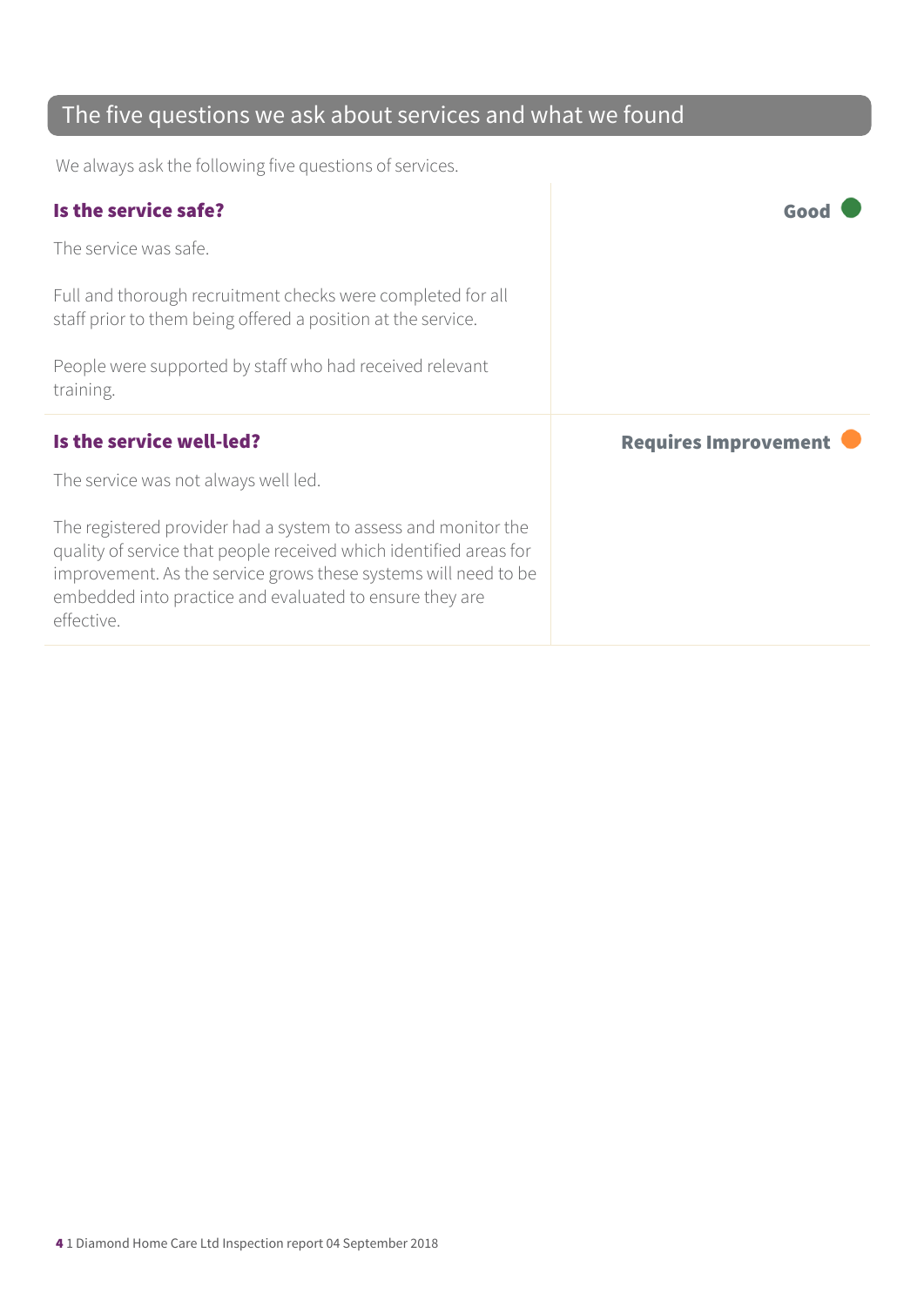### The five questions we ask about services and what we found

We always ask the following five questions of services.

| <b>Requires Improvement</b> |
|-----------------------------|
|                             |
|                             |
|                             |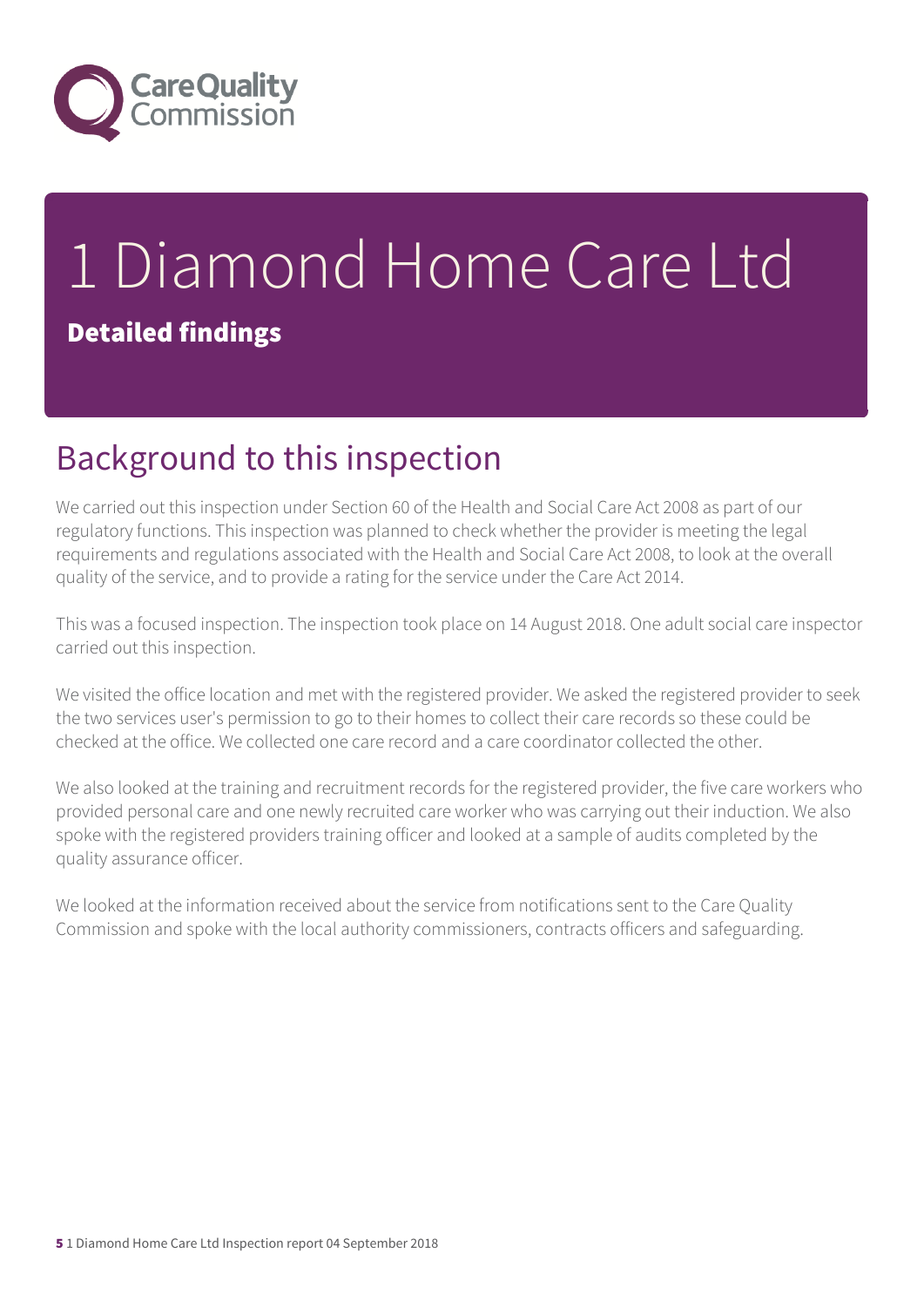

# 1 Diamond Home Care Ltd Detailed findings

## Background to this inspection

We carried out this inspection under Section 60 of the Health and Social Care Act 2008 as part of our regulatory functions. This inspection was planned to check whether the provider is meeting the legal requirements and regulations associated with the Health and Social Care Act 2008, to look at the overall quality of the service, and to provide a rating for the service under the Care Act 2014.

This was a focused inspection. The inspection took place on 14 August 2018. One adult social care inspector carried out this inspection.

We visited the office location and met with the registered provider. We asked the registered provider to seek the two services user's permission to go to their homes to collect their care records so these could be checked at the office. We collected one care record and a care coordinator collected the other.

We also looked at the training and recruitment records for the registered provider, the five care workers who provided personal care and one newly recruited care worker who was carrying out their induction. We also spoke with the registered providers training officer and looked at a sample of audits completed by the quality assurance officer.

We looked at the information received about the service from notifications sent to the Care Quality Commission and spoke with the local authority commissioners, contracts officers and safeguarding.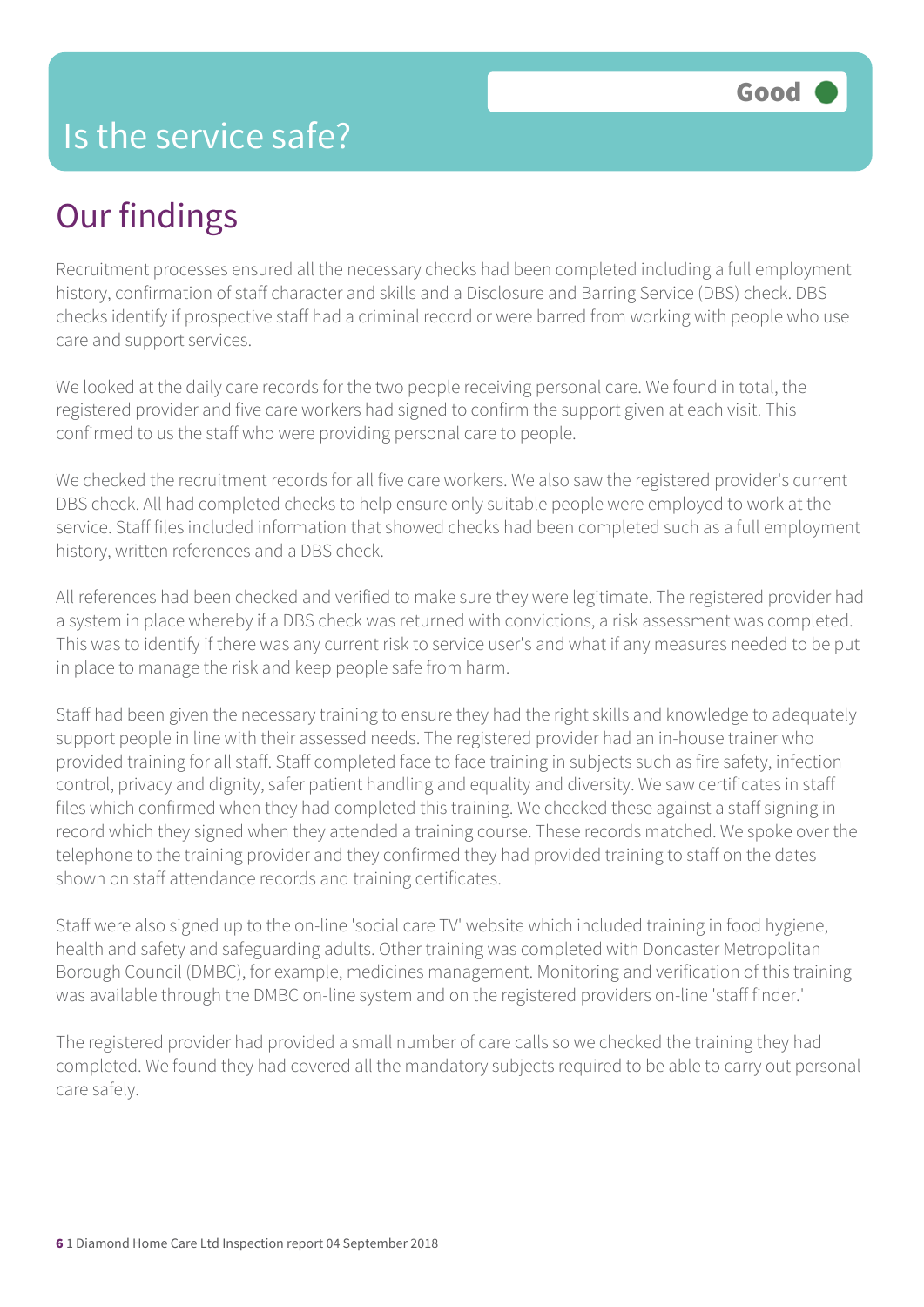## Is the service safe?

## Our findings

Recruitment processes ensured all the necessary checks had been completed including a full employment history, confirmation of staff character and skills and a Disclosure and Barring Service (DBS) check. DBS checks identify if prospective staff had a criminal record or were barred from working with people who use care and support services.

We looked at the daily care records for the two people receiving personal care. We found in total, the registered provider and five care workers had signed to confirm the support given at each visit. This confirmed to us the staff who were providing personal care to people.

We checked the recruitment records for all five care workers. We also saw the registered provider's current DBS check. All had completed checks to help ensure only suitable people were employed to work at the service. Staff files included information that showed checks had been completed such as a full employment history, written references and a DBS check.

All references had been checked and verified to make sure they were legitimate. The registered provider had a system in place whereby if a DBS check was returned with convictions, a risk assessment was completed. This was to identify if there was any current risk to service user's and what if any measures needed to be put in place to manage the risk and keep people safe from harm.

Staff had been given the necessary training to ensure they had the right skills and knowledge to adequately support people in line with their assessed needs. The registered provider had an in-house trainer who provided training for all staff. Staff completed face to face training in subjects such as fire safety, infection control, privacy and dignity, safer patient handling and equality and diversity. We saw certificates in staff files which confirmed when they had completed this training. We checked these against a staff signing in record which they signed when they attended a training course. These records matched. We spoke over the telephone to the training provider and they confirmed they had provided training to staff on the dates shown on staff attendance records and training certificates.

Staff were also signed up to the on-line 'social care TV' website which included training in food hygiene, health and safety and safeguarding adults. Other training was completed with Doncaster Metropolitan Borough Council (DMBC), for example, medicines management. Monitoring and verification of this training was available through the DMBC on-line system and on the registered providers on-line 'staff finder.'

The registered provider had provided a small number of care calls so we checked the training they had completed. We found they had covered all the mandatory subjects required to be able to carry out personal care safely.